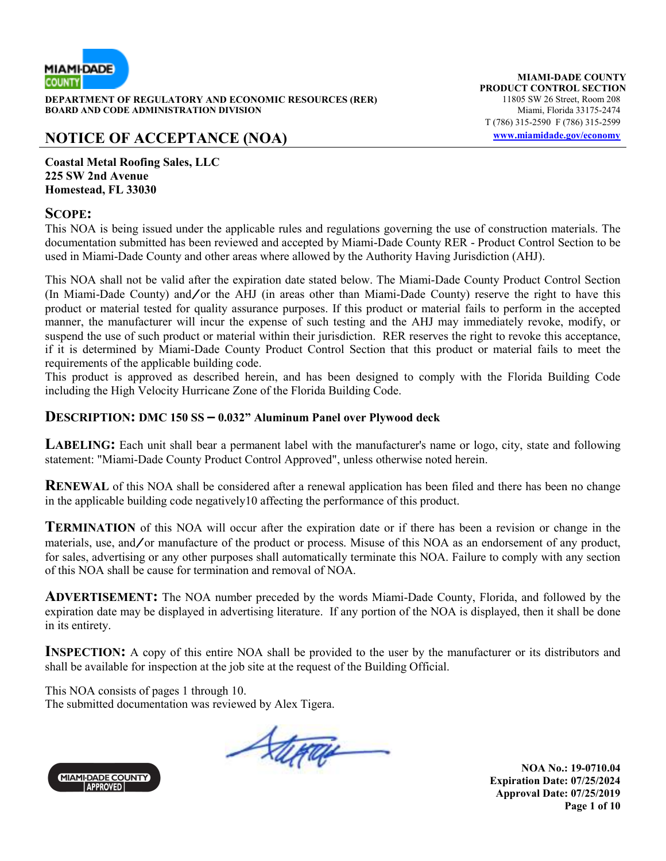

**DEPARTMENT OF REGULATORY AND ECONOMIC RESOURCES (RER)** 11805 SW 26 Street, Room 208<br>**BOARD AND CODE ADMINISTRATION DIVISION** 11807 11805 SW 26 Street, Room 208 **BOARD AND CODE ADMINISTRATION DIVISION** 

# **NOTICE OF ACCEPTANCE (NOA) www.miamidade.gov/economy**

**MIAMI-DADE COUNTY PRODUCT CONTROL SECTION** T (786) 315-2590 F (786) 315-2599

**Coastal Metal Roofing Sales, LLC 225 SW 2nd Avenue Homestead, FL 33030**

#### **SCOPE:**

This NOA is being issued under the applicable rules and regulations governing the use of construction materials. The documentation submitted has been reviewed and accepted by Miami-Dade County RER - Product Control Section to be used in Miami-Dade County and other areas where allowed by the Authority Having Jurisdiction (AHJ).

This NOA shall not be valid after the expiration date stated below. The Miami-Dade County Product Control Section (In Miami-Dade County) and/or the AHJ (in areas other than Miami-Dade County) reserve the right to have this product or material tested for quality assurance purposes. If this product or material fails to perform in the accepted manner, the manufacturer will incur the expense of such testing and the AHJ may immediately revoke, modify, or suspend the use of such product or material within their jurisdiction. RER reserves the right to revoke this acceptance, if it is determined by Miami-Dade County Product Control Section that this product or material fails to meet the requirements of the applicable building code.

This product is approved as described herein, and has been designed to comply with the Florida Building Code including the High Velocity Hurricane Zone of the Florida Building Code.

#### **DESCRIPTION: DMC 150 SS – 0.032" Aluminum Panel over Plywood deck**

**LABELING:** Each unit shall bear a permanent label with the manufacturer's name or logo, city, state and following statement: "Miami-Dade County Product Control Approved", unless otherwise noted herein.

**RENEWAL** of this NOA shall be considered after a renewal application has been filed and there has been no change in the applicable building code negatively10 affecting the performance of this product.

**TERMINATION** of this NOA will occur after the expiration date or if there has been a revision or change in the materials, use, and/or manufacture of the product or process. Misuse of this NOA as an endorsement of any product, for sales, advertising or any other purposes shall automatically terminate this NOA. Failure to comply with any section of this NOA shall be cause for termination and removal of NOA.

**ADVERTISEMENT:** The NOA number preceded by the words Miami-Dade County, Florida, and followed by the expiration date may be displayed in advertising literature. If any portion of the NOA is displayed, then it shall be done in its entirety.

**INSPECTION:** A copy of this entire NOA shall be provided to the user by the manufacturer or its distributors and shall be available for inspection at the job site at the request of the Building Official.

This NOA consists of pages 1 through 10. The submitted documentation was reviewed by Alex Tigera.





**NOA No.: 19-0710.04 Expiration Date: 07/25/2024 Approval Date: 07/25/2019 Page 1 of 10**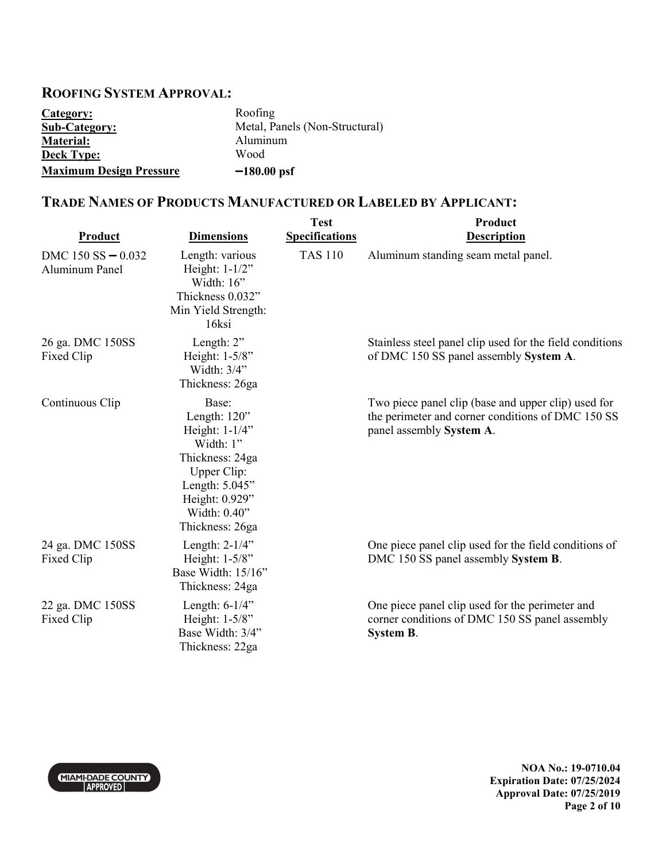## **ROOFING SYSTEM APPROVAL:**

| Category:                      | Roofing                        |
|--------------------------------|--------------------------------|
| <b>Sub-Category:</b>           | Metal, Panels (Non-Structural) |
| <b>Material:</b>               | Aluminum                       |
| <b>Deck Type:</b>              | Wood                           |
| <b>Maximum Design Pressure</b> | $-180.00$ psf                  |

## **TRADE NAMES OF PRODUCTS MANUFACTURED OR LABELED BY APPLICANT:**

| Product                                  | <b>Dimensions</b>                                                                                                                                                | <b>Test</b><br><b>Specifications</b> | Product<br><b>Description</b>                                                                                                        |
|------------------------------------------|------------------------------------------------------------------------------------------------------------------------------------------------------------------|--------------------------------------|--------------------------------------------------------------------------------------------------------------------------------------|
| $DMC$ 150 SS $-$ 0.032<br>Aluminum Panel | Length: various<br>Height: 1-1/2"<br>Width: $16$ "<br>Thickness 0.032"<br>Min Yield Strength:<br>16ksi                                                           | <b>TAS 110</b>                       | Aluminum standing seam metal panel.                                                                                                  |
| 26 ga. DMC 150SS<br>Fixed Clip           | Length: 2"<br>Height: 1-5/8"<br>Width: 3/4"<br>Thickness: 26ga                                                                                                   |                                      | Stainless steel panel clip used for the field conditions<br>of DMC 150 SS panel assembly System A.                                   |
| Continuous Clip                          | Base:<br>Length: 120"<br>Height: $1-1/4$ "<br>Width: 1"<br>Thickness: 24ga<br>Upper Clip:<br>Length: 5.045"<br>Height: 0.929"<br>Width: 0.40"<br>Thickness: 26ga |                                      | Two piece panel clip (base and upper clip) used for<br>the perimeter and corner conditions of DMC 150 SS<br>panel assembly System A. |
| 24 ga. DMC 150SS<br>Fixed Clip           | Length: $2-1/4$ "<br>Height: 1-5/8"<br>Base Width: 15/16"<br>Thickness: 24ga                                                                                     |                                      | One piece panel clip used for the field conditions of<br>DMC 150 SS panel assembly System B.                                         |
| 22 ga. DMC 150SS<br>Fixed Clip           | Length: $6-1/4$ "<br>Height: 1-5/8"<br>Base Width: 3/4"<br>Thickness: 22ga                                                                                       |                                      | One piece panel clip used for the perimeter and<br>corner conditions of DMC 150 SS panel assembly<br><b>System B.</b>                |



**NOA No.: 19-0710.04 Expiration Date: 07/25/2024 Approval Date: 07/25/2019 Page 2 of 10**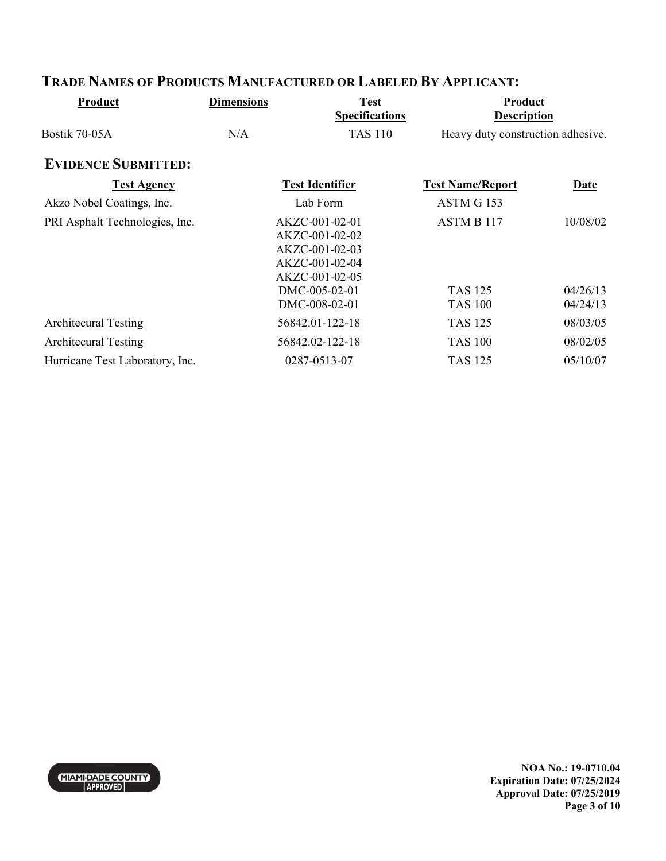| Product                         | <b>Dimensions</b> | <b>Test</b><br><b>Specifications</b>                                                   | Product<br><b>Description</b>     |                      |
|---------------------------------|-------------------|----------------------------------------------------------------------------------------|-----------------------------------|----------------------|
| Bostik 70-05A                   | N/A               | <b>TAS 110</b>                                                                         | Heavy duty construction adhesive. |                      |
| <b>EVIDENCE SUBMITTED:</b>      |                   |                                                                                        |                                   |                      |
| <b>Test Agency</b>              |                   | <b>Test Identifier</b>                                                                 | <b>Test Name/Report</b>           | Date                 |
| Akzo Nobel Coatings, Inc.       |                   | Lab Form                                                                               | ASTM G 153                        |                      |
| PRI Asphalt Technologies, Inc.  |                   | AKZC-001-02-01<br>AKZC-001-02-02<br>AKZC-001-02-03<br>AKZC-001-02-04<br>AKZC-001-02-05 | ASTM B 117                        | 10/08/02             |
|                                 |                   | DMC-005-02-01<br>DMC-008-02-01                                                         | <b>TAS 125</b><br><b>TAS 100</b>  | 04/26/13<br>04/24/13 |
| <b>Architecural Testing</b>     |                   | 56842.01-122-18                                                                        | <b>TAS 125</b>                    | 08/03/05             |
| <b>Architecural Testing</b>     |                   | 56842.02-122-18                                                                        | <b>TAS 100</b>                    | 08/02/05             |
| Hurricane Test Laboratory, Inc. |                   | 0287-0513-07                                                                           | <b>TAS 125</b>                    | 05/10/07             |

# **TRADE NAMES OF PRODUCTS MANUFACTURED OR LABELED BY APPLICANT:**



**NOA No.: 19-0710.04 Expiration Date: 07/25/2024 Approval Date: 07/25/2019 Page 3 of 10**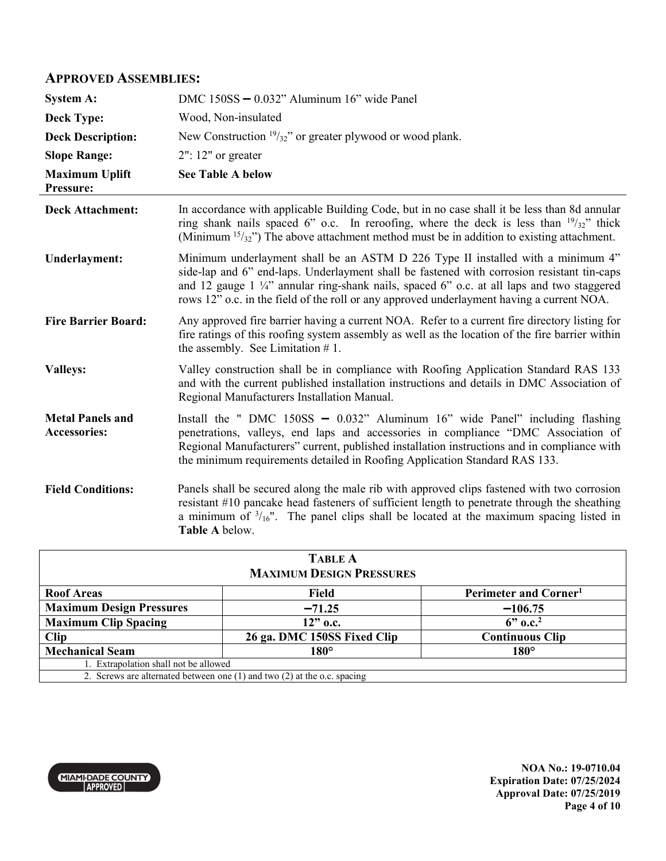### **APPROVED ASSEMBLIES:**

| <b>System A:</b>                               | DMC 150SS - 0.032" Aluminum 16" wide Panel                                                                                                                                                                                                                                                                                                                                        |
|------------------------------------------------|-----------------------------------------------------------------------------------------------------------------------------------------------------------------------------------------------------------------------------------------------------------------------------------------------------------------------------------------------------------------------------------|
| <b>Deck Type:</b>                              | Wood, Non-insulated                                                                                                                                                                                                                                                                                                                                                               |
| <b>Deck Description:</b>                       | New Construction $\frac{19}{32}$ " or greater plywood or wood plank.                                                                                                                                                                                                                                                                                                              |
| <b>Slope Range:</b>                            | $2"$ : 12" or greater                                                                                                                                                                                                                                                                                                                                                             |
| <b>Maximum Uplift</b><br>Pressure:             | <b>See Table A below</b>                                                                                                                                                                                                                                                                                                                                                          |
| <b>Deck Attachment:</b>                        | In accordance with applicable Building Code, but in no case shall it be less than 8d annular<br>ring shank nails spaced 6" o.c. In reroofing, where the deck is less than $\frac{19}{32}$ " thick<br>(Minimum $15/32$ ) The above attachment method must be in addition to existing attachment.                                                                                   |
| <b>Underlayment:</b>                           | Minimum underlayment shall be an ASTM D 226 Type II installed with a minimum 4"<br>side-lap and 6" end-laps. Underlayment shall be fastened with corrosion resistant tin-caps<br>and 12 gauge 1 $\frac{1}{4}$ annular ring-shank nails, spaced 6" o.c. at all laps and two staggered<br>rows 12" o.c. in the field of the roll or any approved underlayment having a current NOA. |
| <b>Fire Barrier Board:</b>                     | Any approved fire barrier having a current NOA. Refer to a current fire directory listing for<br>fire ratings of this roofing system assembly as well as the location of the fire barrier within<br>the assembly. See Limitation $# 1$ .                                                                                                                                          |
| <b>Valleys:</b>                                | Valley construction shall be in compliance with Roofing Application Standard RAS 133<br>and with the current published installation instructions and details in DMC Association of<br>Regional Manufacturers Installation Manual.                                                                                                                                                 |
| <b>Metal Panels and</b><br><b>Accessories:</b> | Install the " DMC $150SS - 0.032$ " Aluminum 16" wide Panel" including flashing<br>penetrations, valleys, end laps and accessories in compliance "DMC Association of<br>Regional Manufacturers" current, published installation instructions and in compliance with<br>the minimum requirements detailed in Roofing Application Standard RAS 133.                                 |
| <b>Field Conditions:</b>                       | Panels shall be secured along the male rib with approved clips fastened with two corrosion<br>resistant #10 pancake head fasteners of sufficient length to penetrate through the sheathing<br>a minimum of $\frac{3}{16}$ ". The panel clips shall be located at the maximum spacing listed in<br>Table A below.                                                                  |

| <b>TABLE A</b>                                                               |                             |                                   |
|------------------------------------------------------------------------------|-----------------------------|-----------------------------------|
| <b>MAXIMUM DESIGN PRESSURES</b>                                              |                             |                                   |
| <b>Roof Areas</b>                                                            | Field                       | Perimeter and Corner <sup>1</sup> |
| <b>Maximum Design Pressures</b>                                              | $-71.25$                    | $-106.75$                         |
| <b>Maximum Clip Spacing</b>                                                  | $12"$ o.c.                  | $6"$ o.c. <sup>2</sup>            |
| <b>Clip</b>                                                                  | 26 ga. DMC 150SS Fixed Clip | <b>Continuous Clip</b>            |
| <b>Mechanical Seam</b>                                                       | $180^\circ$                 | $180^\circ$                       |
| 1. Extrapolation shall not be allowed                                        |                             |                                   |
| 2. Screws are alternated between one $(1)$ and two $(2)$ at the o.c. spacing |                             |                                   |

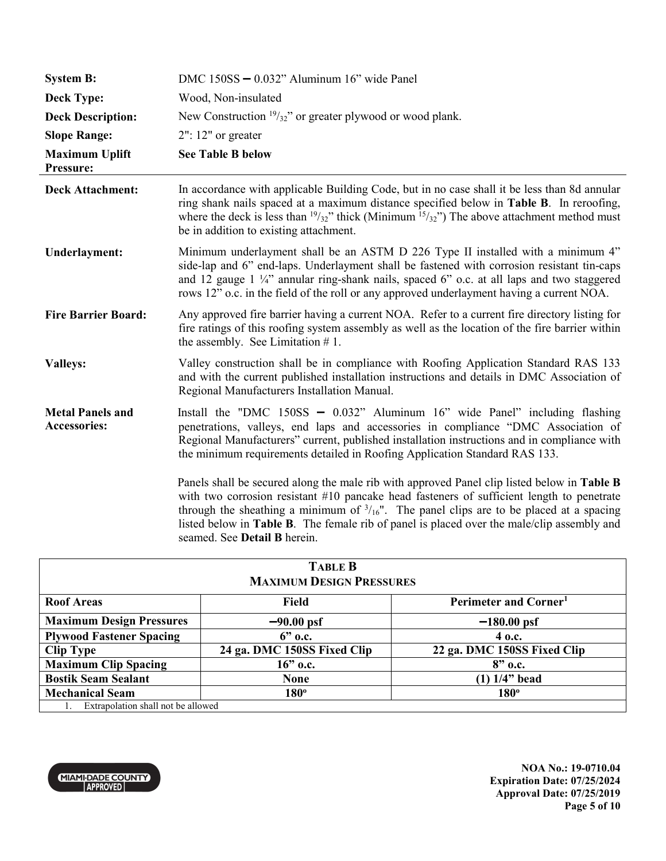| <b>System B:</b>                        | DMC 150SS - 0.032" Aluminum 16" wide Panel                                                                                                                                                                                                                                                                                                                                                                                                    |
|-----------------------------------------|-----------------------------------------------------------------------------------------------------------------------------------------------------------------------------------------------------------------------------------------------------------------------------------------------------------------------------------------------------------------------------------------------------------------------------------------------|
| <b>Deck Type:</b>                       | Wood, Non-insulated                                                                                                                                                                                                                                                                                                                                                                                                                           |
| <b>Deck Description:</b>                | New Construction $\frac{19}{32}$ " or greater plywood or wood plank.                                                                                                                                                                                                                                                                                                                                                                          |
| <b>Slope Range:</b>                     | $2"$ : 12" or greater                                                                                                                                                                                                                                                                                                                                                                                                                         |
| <b>Maximum Uplift</b><br>Pressure:      | <b>See Table B below</b>                                                                                                                                                                                                                                                                                                                                                                                                                      |
| <b>Deck Attachment:</b>                 | In accordance with applicable Building Code, but in no case shall it be less than 8d annular<br>ring shank nails spaced at a maximum distance specified below in Table B. In reroofing,<br>where the deck is less than $\frac{19}{32}$ " thick (Minimum $\frac{15}{32}$ ") The above attachment method must<br>be in addition to existing attachment.                                                                                         |
| Underlayment:                           | Minimum underlayment shall be an ASTM D 226 Type II installed with a minimum 4"<br>side-lap and 6" end-laps. Underlayment shall be fastened with corrosion resistant tin-caps<br>and 12 gauge $1\frac{1}{4}$ annular ring-shank nails, spaced 6" o.c. at all laps and two staggered<br>rows 12" o.c. in the field of the roll or any approved underlayment having a current NOA.                                                              |
| <b>Fire Barrier Board:</b>              | Any approved fire barrier having a current NOA. Refer to a current fire directory listing for<br>fire ratings of this roofing system assembly as well as the location of the fire barrier within<br>the assembly. See Limitation $# 1$ .                                                                                                                                                                                                      |
| <b>Valleys:</b>                         | Valley construction shall be in compliance with Roofing Application Standard RAS 133<br>and with the current published installation instructions and details in DMC Association of<br>Regional Manufacturers Installation Manual.                                                                                                                                                                                                             |
| <b>Metal Panels and</b><br>Accessories: | Install the "DMC $150SS - 0.032$ " Aluminum $16$ " wide Panel" including flashing<br>penetrations, valleys, end laps and accessories in compliance "DMC Association of<br>Regional Manufacturers" current, published installation instructions and in compliance with<br>the minimum requirements detailed in Roofing Application Standard RAS 133.                                                                                           |
|                                         | Panels shall be secured along the male rib with approved Panel clip listed below in <b>Table B</b><br>with two corrosion resistant $#10$ pancake head fasteners of sufficient length to penetrate<br>through the sheathing a minimum of $\frac{3}{16}$ ". The panel clips are to be placed at a spacing<br>listed below in <b>Table B</b> . The female rib of panel is placed over the male/clip assembly and<br>seamed. See Detail B herein. |

| <b>TABLE B</b>                     |                             |                                   |
|------------------------------------|-----------------------------|-----------------------------------|
| <b>MAXIMUM DESIGN PRESSURES</b>    |                             |                                   |
| <b>Roof Areas</b>                  | Field                       | Perimeter and Corner <sup>1</sup> |
| <b>Maximum Design Pressures</b>    | $-90.00$ psf                | $-180.00$ psf                     |
| <b>Plywood Fastener Spacing</b>    | $6"$ o.c.                   | 4 o.c.                            |
| <b>Clip Type</b>                   | 24 ga. DMC 150SS Fixed Clip | 22 ga. DMC 150SS Fixed Clip       |
| <b>Maximum Clip Spacing</b>        | $16$ " o.c.                 | $8"$ o.c.                         |
| <b>Bostik Seam Sealant</b>         | <b>None</b>                 | $(1)$ 1/4" bead                   |
| <b>Mechanical Seam</b>             | $180^\circ$                 | 180 <sup>°</sup>                  |
| Extrapolation shall not be allowed |                             |                                   |



**NOA No.: 19-0710.04 Expiration Date: 07/25/2024 Approval Date: 07/25/2019 Page 5 of 10**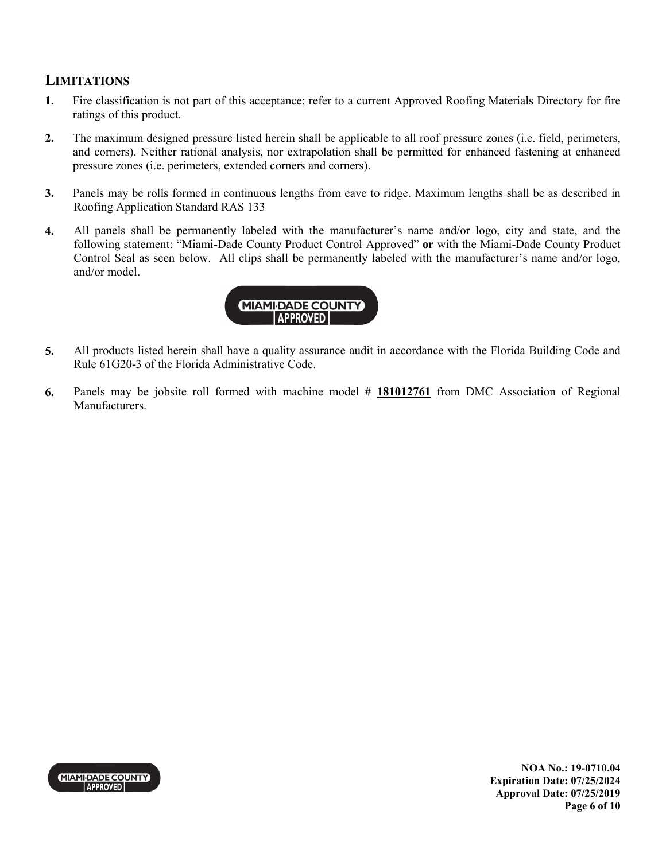### **LIMITATIONS**

- **1.** Fire classification is not part of this acceptance; refer to a current Approved Roofing Materials Directory for fire ratings of this product.
- **2.** The maximum designed pressure listed herein shall be applicable to all roof pressure zones (i.e. field, perimeters, and corners). Neither rational analysis, nor extrapolation shall be permitted for enhanced fastening at enhanced pressure zones (i.e. perimeters, extended corners and corners).
- **3.** Panels may be rolls formed in continuous lengths from eave to ridge. Maximum lengths shall be as described in Roofing Application Standard RAS 133
- **4.** All panels shall be permanently labeled with the manufacturer's name and/or logo, city and state, and the following statement: "Miami-Dade County Product Control Approved" **or** with the Miami-Dade County Product Control Seal as seen below. All clips shall be permanently labeled with the manufacturer's name and/or logo, and/or model.



- **5.** All products listed herein shall have a quality assurance audit in accordance with the Florida Building Code and Rule 61G20-3 of the Florida Administrative Code.
- **6.** Panels may be jobsite roll formed with machine model **# 181012761** from DMC Association of Regional Manufacturers.



**NOA No.: 19-0710.04 Expiration Date: 07/25/2024 Approval Date: 07/25/2019 Page 6 of 10**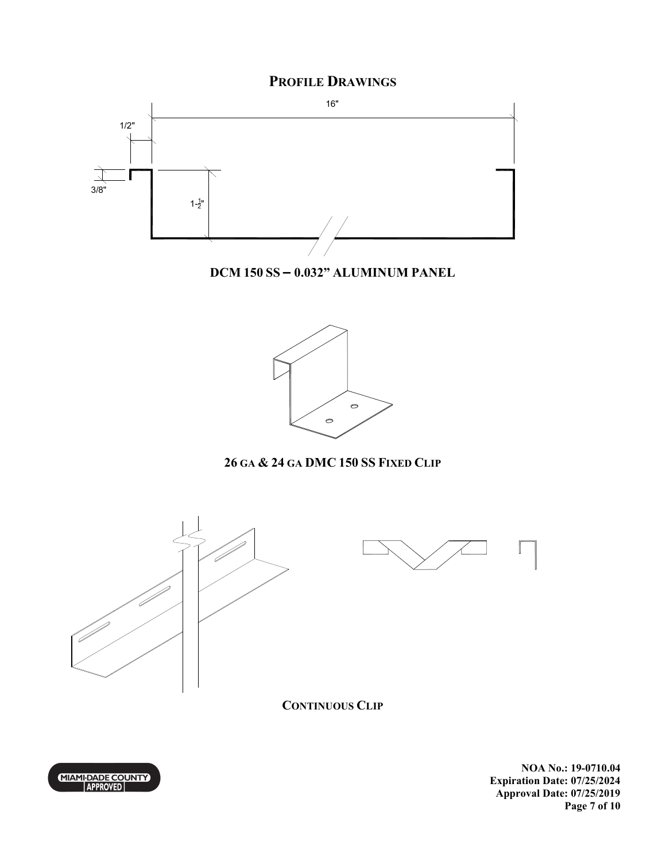## **PROFILE DRAWINGS**



**DCM 150 SS – 0.032" ALUMINUM PANEL** 



# **26 GA & 24 GA DMC 150 SS FIXED CLIP**





**CONTINUOUS CLIP**

MIAMI-DADE COUNTY

**NOA No.: 19-0710.04 Expiration Date: 07/25/2024 Approval Date: 07/25/2019 Page 7 of 10**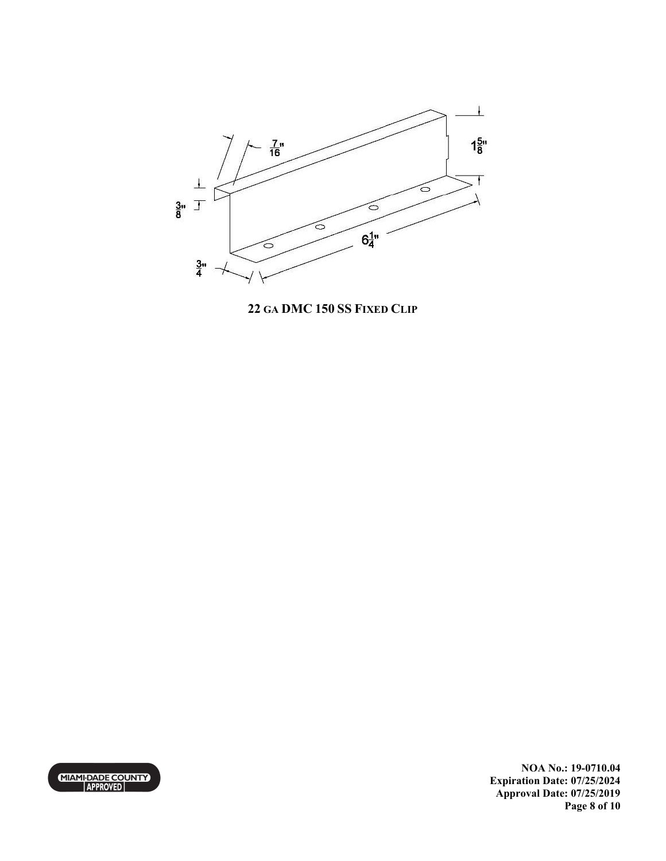

**22 GA DMC 150 SS FIXED CLIP**



**NOA No.: 19-0710.04 Expiration Date: 07/25/2024 Approval Date: 07/25/2019 Page 8 of 10**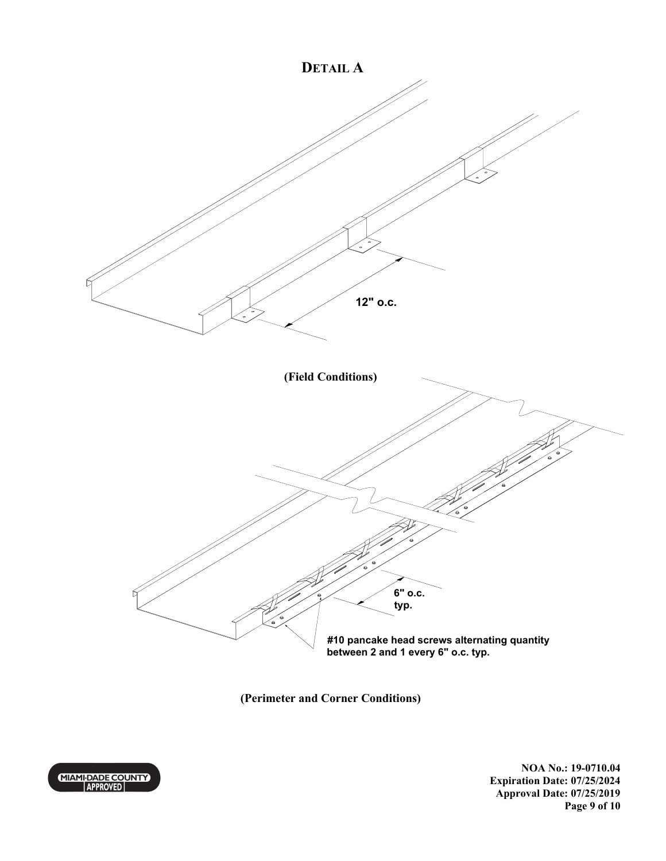

**(Perimeter and Corner Conditions)** 



**NOA No.: 19-0710.04 Expiration Date: 07/25/2024 Approval Date: 07/25/2019 Page 9 of 10**